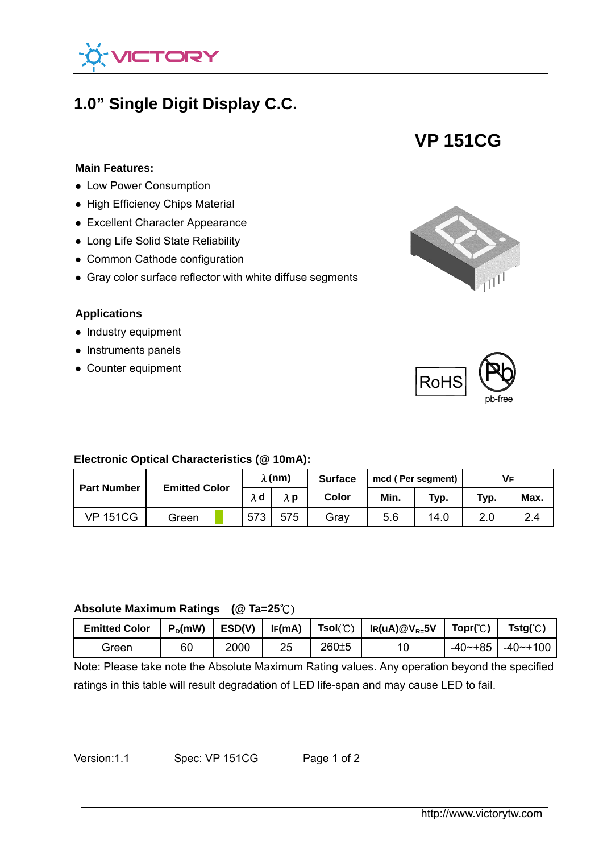

# **1.0" Single Digit Display C.C.**



## **Main Features:**

- **Low Power Consumption**<br>● Low Power Consumption
- High Efficiency Chips Material
- Excellent Character Appearance
- Long Life Solid State Reliability
- Common Cathode configuration
- Gray color surface reflector with white diffuse segments

#### **Applications**

- $\bullet$  Industry equipment
- Instruments panels
- Counter equipment





#### **Electronic Optical Characteristics (@ 10mA):**

| <b>Part Number</b> | <b>Emitted Color</b> | $\lambda$ (nm) |     | <b>Surface</b> | mcd (Per segment) |      | VF   |      |
|--------------------|----------------------|----------------|-----|----------------|-------------------|------|------|------|
|                    |                      | λd             | λp  | Color          | Min.              | Typ. | Typ. | Max. |
| <b>VP 151CG</b>    | Green                | 573            | 575 | Grav           | 5.6               | 14.0 | 2.0  | 2.4  |

#### **Absolute Maximum Ratings (@ Ta=25**℃)

| <b>Emitted Color</b> |    | $P_D(mW)$   ESD(V)   IF(mA) |    |           | Tsol $(^{\circ}\textrm{C})$   Ir(uA)@V <sub>R=</sub> 5V | Tor(C) | $Tstg(\mathcal{C})$         |
|----------------------|----|-----------------------------|----|-----------|---------------------------------------------------------|--------|-----------------------------|
| Green                | 60 | 2000                        | 25 | $260 + 5$ | 10                                                      |        | $-40$ $-185$   $-40$ $-100$ |

Note: Please take note the Absolute Maximum Rating values. Any operation beyond the specified ratings in this table will result degradation of LED life-span and may cause LED to fail.

Version:1.1 Spec: VP 151CG Page 1 of 2